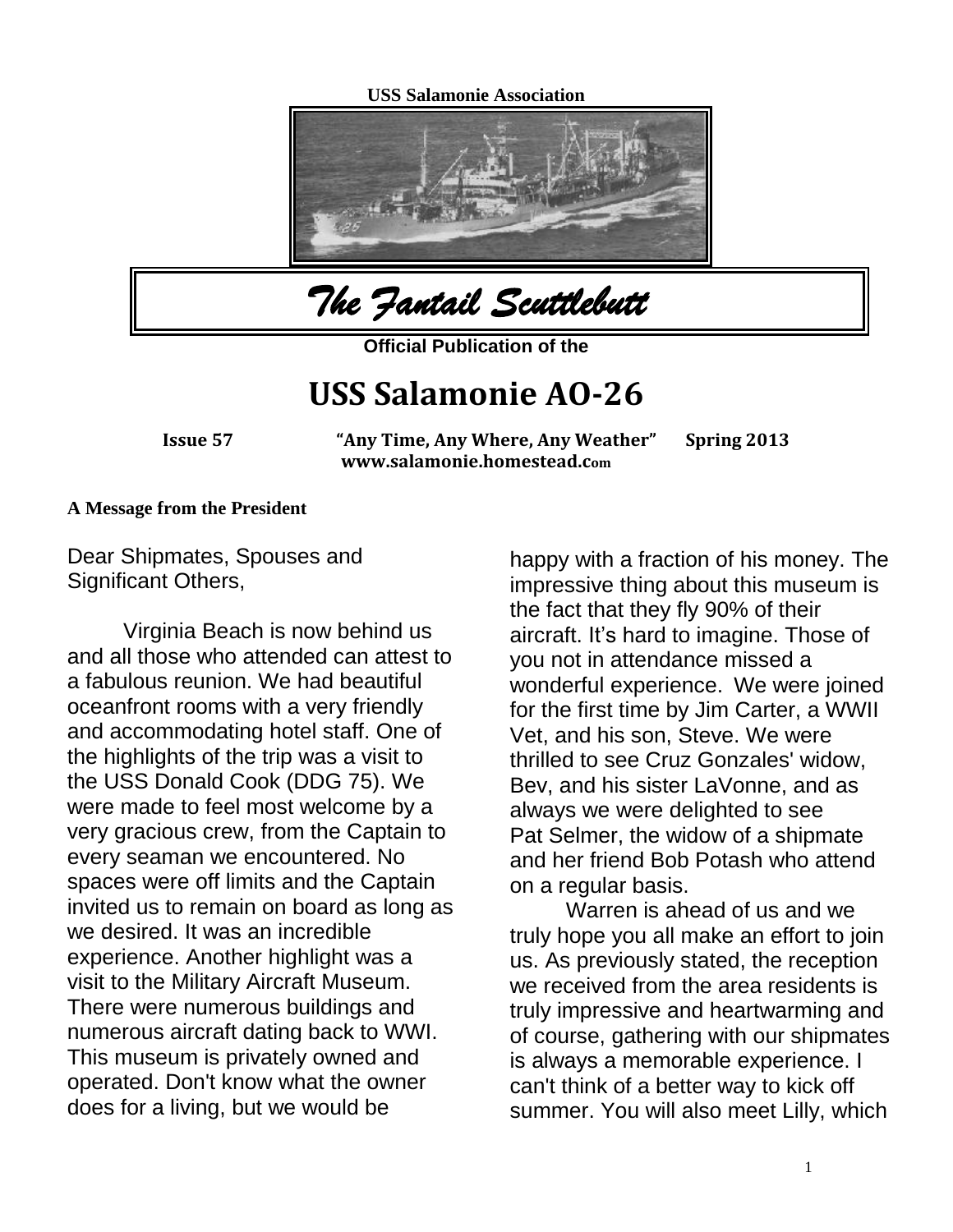**USS Salamonie Association**





**Official Publication of the** 

## **USS Salamonie AO-26**

**Issue 57 "Any Time, Any Where, Any Weather" Spring 2013 www.salamonie.homestead.com**

#### **A Message from the President**

Dear Shipmates, Spouses and Significant Others,

Virginia Beach is now behind us and all those who attended can attest to a fabulous reunion. We had beautiful oceanfront rooms with a very friendly and accommodating hotel staff. One of the highlights of the trip was a visit to the USS Donald Cook (DDG 75). We were made to feel most welcome by a very gracious crew, from the Captain to every seaman we encountered. No spaces were off limits and the Captain invited us to remain on board as long as we desired. It was an incredible experience. Another highlight was a visit to the Military Aircraft Museum. There were numerous buildings and numerous aircraft dating back to WWI. This museum is privately owned and operated. Don't know what the owner does for a living, but we would be

happy with a fraction of his money. The impressive thing about this museum is the fact that they fly 90% of their aircraft. It's hard to imagine. Those of you not in attendance missed a wonderful experience. We were joined for the first time by Jim Carter, a WWII Vet, and his son, Steve. We were thrilled to see Cruz Gonzales' widow, Bev, and his sister LaVonne, and as always we were delighted to see Pat Selmer, the widow of a shipmate and her friend Bob Potash who attend on a regular basis.

Warren is ahead of us and we truly hope you all make an effort to join us. As previously stated, the reception we received from the area residents is truly impressive and heartwarming and of course, gathering with our shipmates is always a memorable experience. I can't think of a better way to kick off summer. You will also meet Lilly, which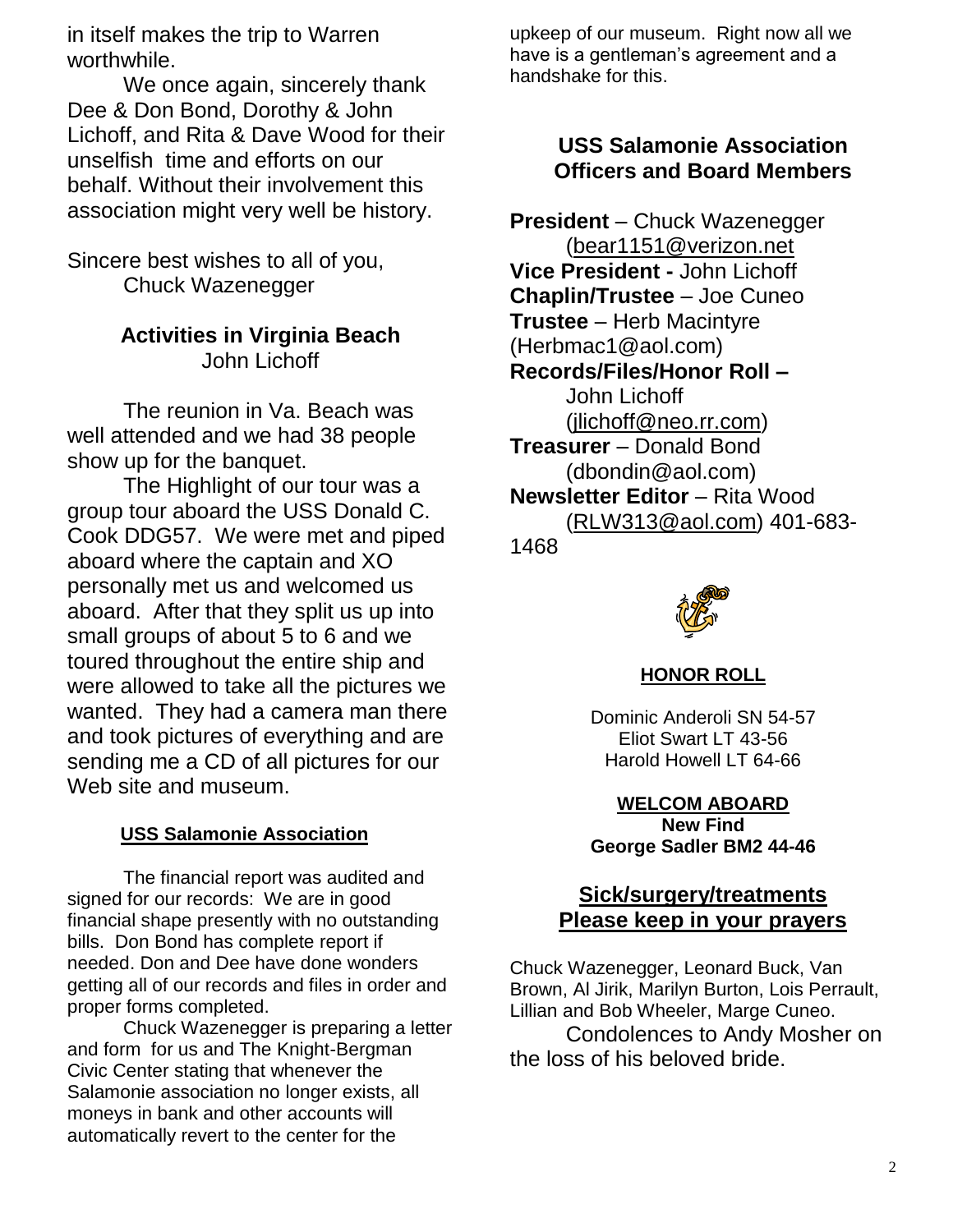in itself makes the trip to Warren worthwhile.

We once again, sincerely thank Dee & Don Bond, Dorothy & John Lichoff, and Rita & Dave Wood for their unselfish time and efforts on our behalf. Without their involvement this association might very well be history.

Sincere best wishes to all of you, Chuck Wazenegger

## **Activities in Virginia Beach** John Lichoff

The reunion in Va. Beach was well attended and we had 38 people show up for the banquet.

The Highlight of our tour was a group tour aboard the USS Donald C. Cook DDG57. We were met and piped aboard where the captain and XO personally met us and welcomed us aboard. After that they split us up into small groups of about 5 to 6 and we toured throughout the entire ship and were allowed to take all the pictures we wanted. They had a camera man there and took pictures of everything and are sending me a CD of all pictures for our Web site and museum.

#### **USS Salamonie Association**

The financial report was audited and signed for our records: We are in good financial shape presently with no outstanding bills. Don Bond has complete report if needed. Don and Dee have done wonders getting all of our records and files in order and proper forms completed.

Chuck Wazenegger is preparing a letter and form for us and The Knight-Bergman Civic Center stating that whenever the Salamonie association no longer exists, all moneys in bank and other accounts will automatically revert to the center for the

upkeep of our museum. Right now all we have is a gentleman's agreement and a handshake for this.

### **USS Salamonie Association Officers and Board Members**

**President** – Chuck Wazenegger [\(bear1151@verizon.net](mailto:bear1151@verizon.net) **Vice President -** John Lichoff **Chaplin/Trustee** – Joe Cuneo **Trustee** – Herb Macintyre (Herbmac1@aol.com) **Records/Files/Honor Roll –** John Lichoff [\(jlichoff@neo.rr.com\)](mailto:jlichoff@neo.rr.com) **Treasurer** – Donald Bond (dbondin@aol.com) **Newsletter Editor** – Rita Wood [\(RLW313@aol.com\)](mailto:RLW313@aol.com) 401-683- 1468



**HONOR ROLL**

Dominic Anderoli SN 54-57 Eliot Swart LT 43-56 Harold Howell LT 64-66

**WELCOM ABOARD New Find George Sadler BM2 44-46**

## **Sick/surgery/treatments Please keep in your prayers**

Chuck Wazenegger, Leonard Buck, Van Brown, Al Jirik, Marilyn Burton, Lois Perrault, Lillian and Bob Wheeler, Marge Cuneo. Condolences to Andy Mosher on the loss of his beloved bride.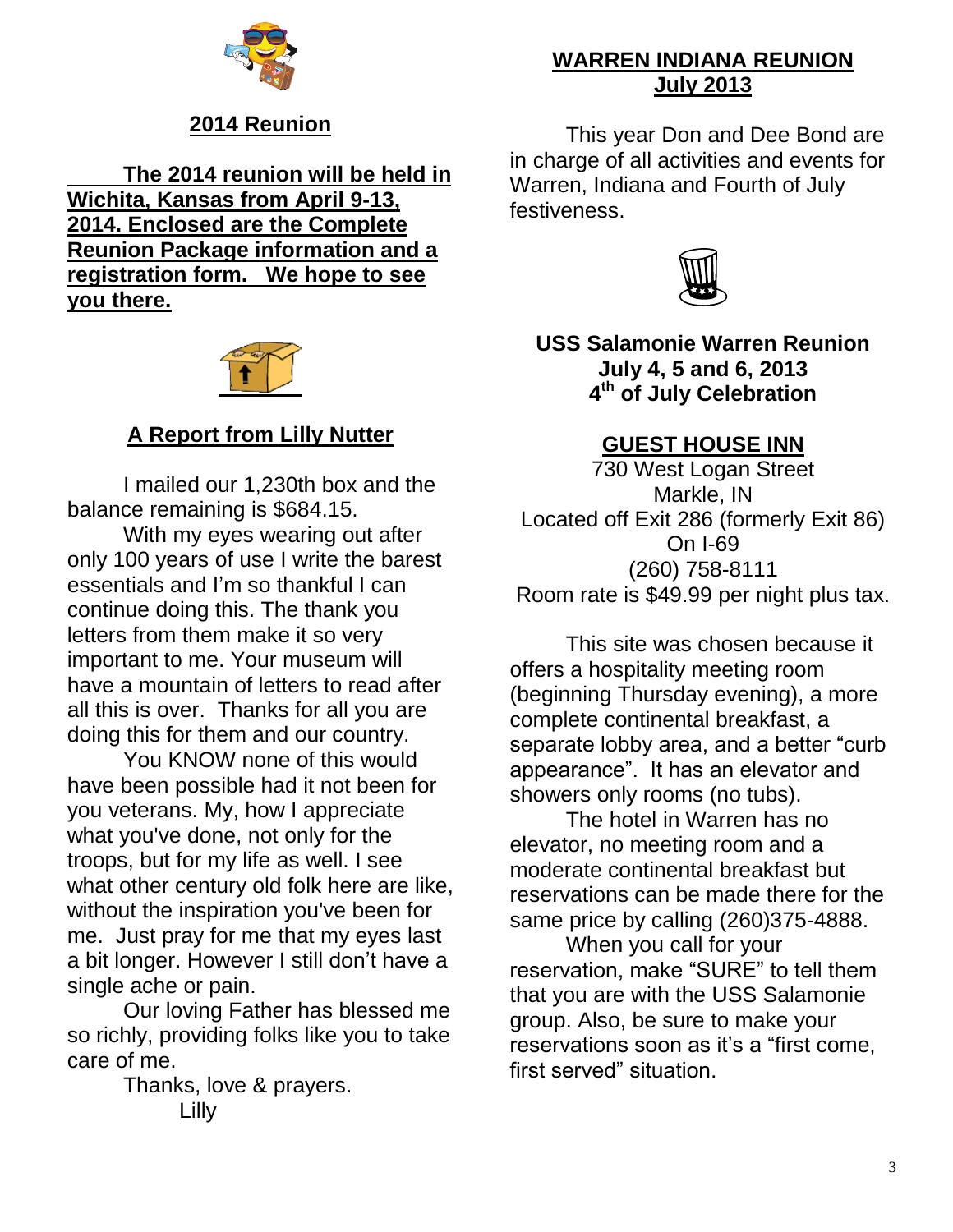

## **2014 Reunion**

**The 2014 reunion will be held in Wichita, Kansas from April 9-13, 2014. Enclosed are the Complete Reunion Package information and a registration form. We hope to see you there.**



## **A Report from Lilly Nutter**

I mailed our 1,230th box and the balance remaining is \$684.15.

With my eyes wearing out after only 100 years of use I write the barest essentials and I'm so thankful I can continue doing this. The thank you letters from them make it so very important to me. Your museum will have a mountain of letters to read after all this is over. Thanks for all you are doing this for them and our country.

You KNOW none of this would have been possible had it not been for you veterans. My, how I appreciate what you've done, not only for the troops, but for my life as well. I see what other century old folk here are like, without the inspiration you've been for me. Just pray for me that my eyes last a bit longer. However I still don't have a single ache or pain.

Our loving Father has blessed me so richly, providing folks like you to take care of me.

> Thanks, love & prayers. Lilly

## **WARREN INDIANA REUNION July 2013**

This year Don and Dee Bond are in charge of all activities and events for Warren, Indiana and Fourth of July festiveness.



**USS Salamonie Warren Reunion July 4, 5 and 6, 2013 4 th of July Celebration**

## **GUEST HOUSE INN**

730 West Logan Street Markle, IN Located off Exit 286 (formerly Exit 86) On I-69 (260) 758-8111 Room rate is \$49.99 per night plus tax.

This site was chosen because it offers a hospitality meeting room (beginning Thursday evening), a more complete continental breakfast, a separate lobby area, and a better "curb appearance". It has an elevator and showers only rooms (no tubs).

The hotel in Warren has no elevator, no meeting room and a moderate continental breakfast but reservations can be made there for the same price by calling (260)375-4888.

When you call for your reservation, make "SURE" to tell them that you are with the USS Salamonie group. Also, be sure to make your reservations soon as it's a "first come, first served" situation.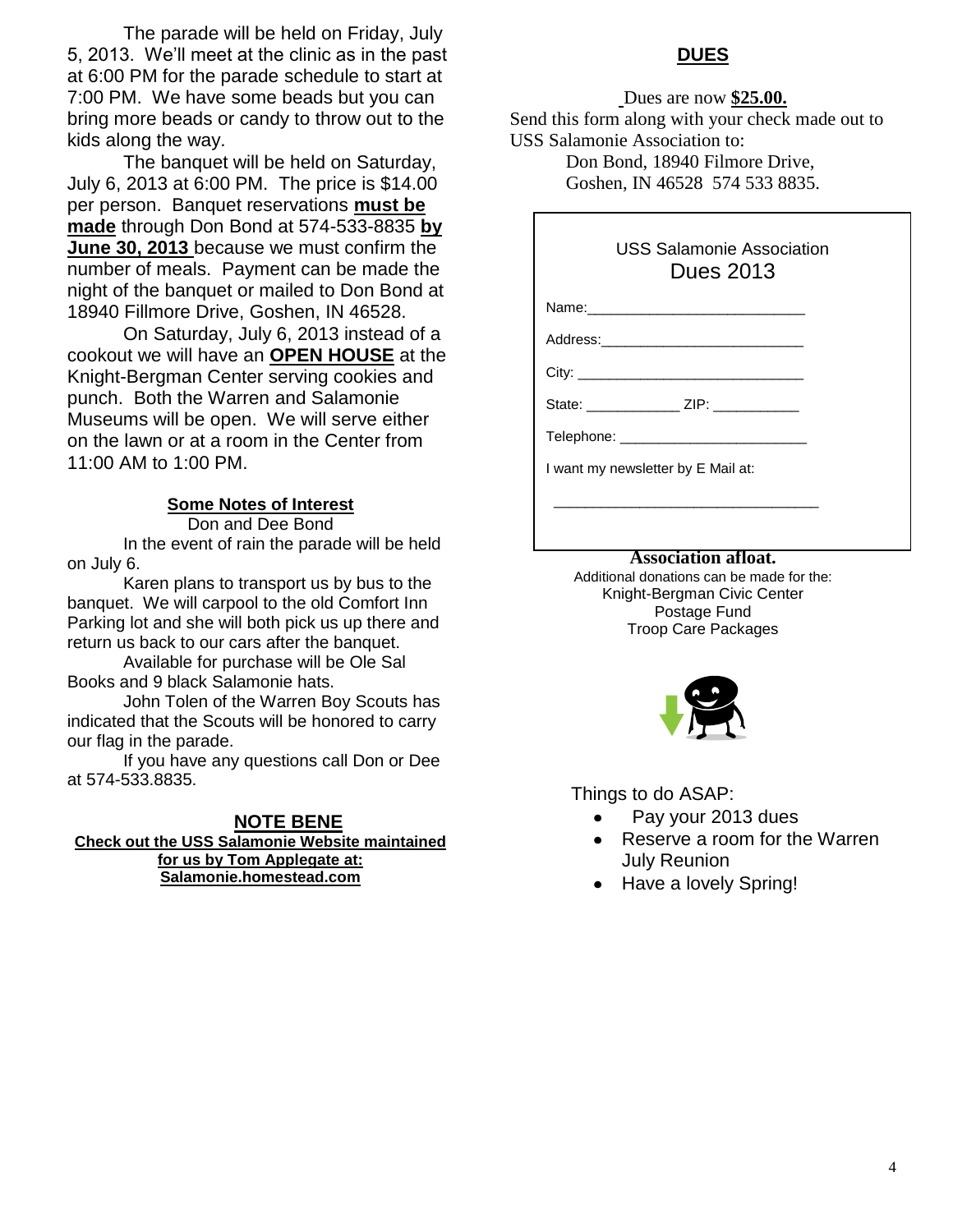The parade will be held on Friday, July 5, 2013. We'll meet at the clinic as in the past at 6:00 PM for the parade schedule to start at 7:00 PM. We have some beads but you can bring more beads or candy to throw out to the kids along the way.

The banquet will be held on Saturday, July 6, 2013 at 6:00 PM. The price is \$14.00 per person. Banquet reservations **must be made** through Don Bond at 574-533-8835 **by June 30, 2013** because we must confirm the number of meals. Payment can be made the night of the banquet or mailed to Don Bond at 18940 Fillmore Drive, Goshen, IN 46528.

On Saturday, July 6, 2013 instead of a cookout we will have an **OPEN HOUSE** at the Knight-Bergman Center serving cookies and punch. Both the Warren and Salamonie Museums will be open. We will serve either on the lawn or at a room in the Center from 11:00 AM to 1:00 PM.

#### **Some Notes of Interest**

Don and Dee Bond In the event of rain the parade will be held on July 6.

Karen plans to transport us by bus to the banquet. We will carpool to the old Comfort Inn Parking lot and she will both pick us up there and return us back to our cars after the banquet.

Available for purchase will be Ole Sal Books and 9 black Salamonie hats.

John Tolen of the Warren Boy Scouts has indicated that the Scouts will be honored to carry our flag in the parade.

If you have any questions call Don or Dee at 574-533.8835.

#### **NOTE BENE Check out the USS Salamonie Website maintained for us by Tom Applegate at: Salamonie.homestead.com**

#### **DUES**

Dues are now **\$25.00.**

Send this form along with your check made out to USS Salamonie Association to:

Don Bond, 18940 Filmore Drive, Goshen, IN 46528 574 533 8835.

#### USS Salamonie Association Dues 2013

Name:

Address:

City:

State: \_\_\_\_\_\_\_\_\_\_\_\_ ZIP: \_\_\_\_\_\_\_\_\_\_\_

Telephone:  $\blacksquare$ 

I want my newsletter by E Mail at:

#### **Remember that pour dues help to keep the Association afloat.**

 $\overline{\phantom{a}}$  , which is the set of the set of the set of the set of the set of the set of the set of the set of the set of the set of the set of the set of the set of the set of the set of the set of the set of the set of

Additional donations can be made for the: Knight-Bergman Civic Center Postage Fund Troop Care Packages



Things to do ASAP:

- Pay your 2013 dues
- Reserve a room for the Warren July Reunion
- Have a lovely Spring!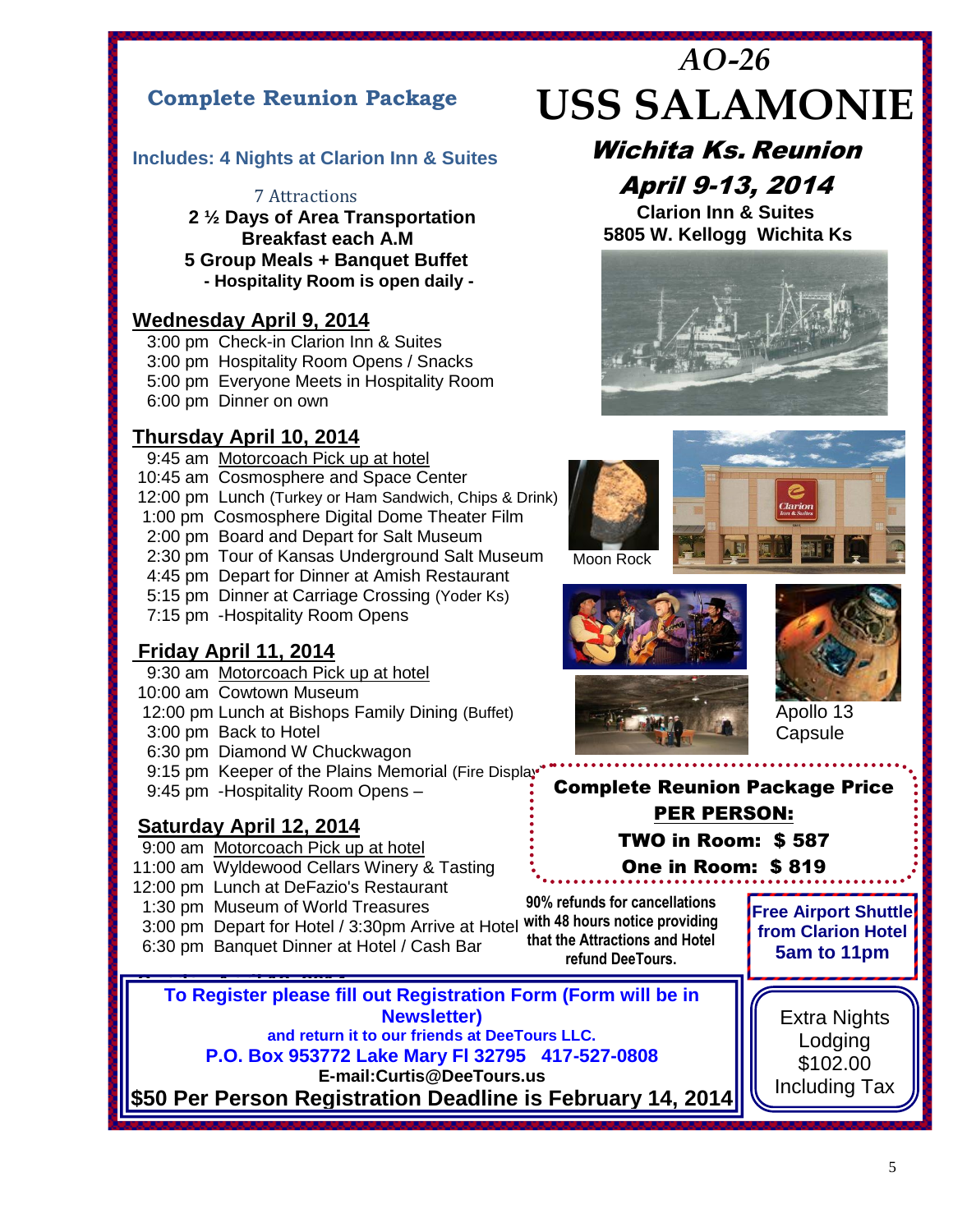## **Complete Reunion Package**

#### **Includes: 4 Nights at Clarion Inn & Suites**

#### 7 Attractions

**2 ½ Days of Area Transportation Breakfast each A.M**

 **5 Group Meals + Banquet Buffet - Hospitality Room is open daily -**

#### **Wednesday April 9, 2014**

 3:00 pm Check-in Clarion Inn & Suites 3:00 pm Hospitality Room Opens / Snacks 5:00 pm Everyone Meets in Hospitality Room 6:00 pm Dinner on own

#### **Thursday April 10, 2014**

- 9:45 am Motorcoach Pick up at hotel
- 10:45 am Cosmosphere and Space Center
- 12:00 pm Lunch (Turkey or Ham Sandwich, Chips & Drink)<br>1:00 pm Cosmosphere Digital Dome Theater Film
- 1:00 pm Cosmosphere Digital Dome Theater Film
- 2:00 pm Board and Depart for Salt Museum
- 2:30 pm Tour of Kansas Underground Salt Museum
- 4:45 pm Depart for Dinner at Amish Restaurant
- 5:15 pm Dinner at Carriage Crossing (Yoder Ks)
- 7:15 pm -Hospitality Room Opens

#### **Friday April 11, 2014**

- 9:30 am Motorcoach Pick up at hotel
- 10:00 am Cowtown Museum
- 12:00 pm Lunch at Bishops Family Dining (Buffet)
- 3:00 pm Back to Hotel
- 6:30 pm Diamond W Chuckwagon
- 9:15 pm Keeper of the Plains Memorial (Fire Display
- 9:45 pm -Hospitality Room Opens –

#### **Saturday April 12, 2014**

- 9:00 am Motorcoach Pick up at hotel
- 11:00 am Wyldewood Cellars Winery & Tasting
- 12:00 pm Lunch at DeFazio's Restaurant
- 1:30 pm Museum of World Treasures
- 3:00 pm Depart for Hotel / 3:30pm Arrive at Hotel **with 48 hours notice providing**
- 6:30 pm Banquet Dinner at Hotel / Cash Bar

**90% refunds for cancellations that the Attractions and Hotel refund DeeTours.**

**Free Airport Shuttle from Clarion Hotel 5am to 11pm**

> Lodging \$102.00



**– Balance Due 3/14/14**

# *AO-26* **USS SALAMONIE**

Wichita Ks. Reunion April 9-13, 2014

**Clarion Inn & Suites 5805 W. Kellogg Wichita Ks**







Apollo 13 **Capsule** 

## Complete Reunion Package Price PER PERSON:

TWO in Room: \$ 587

One in Room: \$ 819